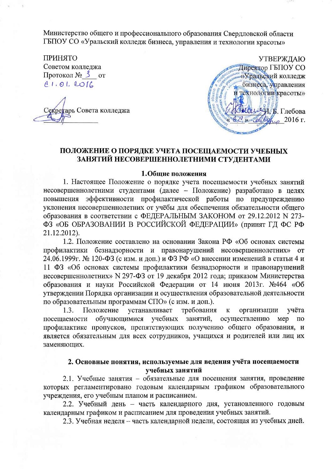Министерство общего и профессионального образования Свердловской области ГБПОУ СО «Уральский колледж бизнеса, управления и технологии красоты»

**ПРИНЯТО** Советом колледжа Протокол № 3 от  $81.01.2016$ 

гарь Совета колледжа



# ПОЛОЖЕНИЕ О ПОРЯДКЕ УЧЕТА ПОСЕЩАЕМОСТИ УЧЕБНЫХ ЗАНЯТИЙ НЕСОВЕРШЕННОЛЕТНИМИ СТУДЕНТАМИ

### 1. Общие положения

1. Настоящее Положение о порядке учета посещаемости учебных занятий несовершеннолетними студентами (далее - Положение) разработано в целях повышения эффективности профилактической работы по предупреждению уклонения несовершеннолетних от учёбы для обеспечения обязательности общего образования в соответствии с ФЕДЕРАЛЬНЫМ ЗАКОНОМ от 29.12.2012 N 273-ФЗ «ОБ ОБРАЗОВАНИИ В РОССИЙСКОЙ ФЕДЕРАЦИИ» (принят ГД ФС РФ 21.12.2012).

1.2. Положение составлено на основании Закона РФ «Об основах системы профилактики безнадзорности и правонарушений несовершеннолетних» **OT** 24.06.1999г. № 120-ФЗ (с изм. и доп.) и ФЗ РФ «О внесении изменений в статьи 4 и 11 ФЗ «Об основах системы профилактики безнадзорности и правонарушений несовершеннолетних» N 297-ФЗ от 19 декабря 2012 года; приказом Министерства образования и науки Российской Федерации от 14 июня 2013г. №464 «Об утверждении Порядка организации и осуществления образовательной деятельности по образовательным программам СПО» (с изм. и доп.).

требования организации  $1.3.$ Положение устанавливает учёта  ${\bf K}$ учебных занятий, посещаемости обучающимися осуществлению Mep  $\Pi$ <sup>O</sup> профилактике пропусков, препятствующих получению общего образования, и является обязательным для всех сотрудников, учащихся и родителей или лиц их заменяющих.

# 2. Основные понятия, используемые для ведения учёта посещаемости учебных занятий

2.1. Учебные занятия - обязательные для посещения занятия, проведение которых регламентировано годовым календарным графиком образовательного учреждения, его учебным планом и расписанием.

2.2. Учебный день - часть календарного дня, установленного годовым календарным графиком и расписанием для проведения учебных занятий.

2.3. Учебная неделя – часть календарной недели, состоящая из учебных дней.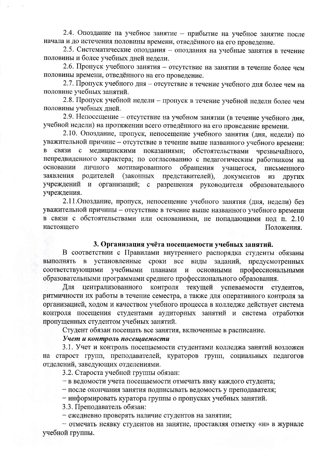2.4. Опоздание на учебное занятие - прибытие на учебное занятие после начала и до истечения половины времени, отведённого на его проведение.

2.5. Систематические опоздания - опоздания на учебные занятия в течение половины и более учебных дней недели.

2.6. Пропуск учебного занятия - отсутствие на занятии в течение более чем половины времени, отведённого на его проведение.

2.7. Пропуск учебного дня - отсутствие в течение учебного дня более чем на половине учебных занятий.

2.8. Пропуск учебной недели - пропуск в течение учебной недели более чем половины учебных лней.

2.9. Непосещение - отсутствие на учебном занятии (в течение учебного дня, учебной недели) на протяжении всего отведённого на его проведение времени.

2.10. Опоздание, пропуск, непосещение учебного занятия (дня, недели) по уважительной причине - отсутствие в течение выше названного учебного времени: связи с медицинскими показаниями; обстоятельствами чрезвычайного. непредвиденного характера; по согласованию с педагогическим работником на основании личного мотивированного обращения учащегося. письменного заявления родителей (законных представителей). документов **ИЗ** ДРУГИХ учреждений и организаций; с разрешения руководителя образовательного учреждения.

2.11. Опоздание, пропуск, непосещение учебного занятия (дня, недели) без уважительной причины - отсутствие в течение выше названного учебного времени в связи с обстоятельствами или основаниями, не попадающими под п. 2.10 настояшего Положения.

#### 3. Организация учёта посещаемости учебных занятий.

В соответствии с Правилами внутреннего распорядка студенты обязаны выполнять в установленные сроки все виды заданий, предусмотренных соответствующими учебными планами и основными профессиональными образовательными программами среднего профессионального образования.

Для централизованного контроля текущей успеваемости студентов, ритмичности их работы в течение семестра, а также для оперативного контроля за организацией, ходом и качеством учебного процесса в колледже действует система контроля посещения студентами аудиторных занятий и система отработки пропущенных студентом учебных занятий.

Студент обязан посещать все занятия, включенные в расписание.

### Учет и контроль посещаемости

3.1. Учет и контроль посещаемости студентами колледжа занятий возложен на старост групп, преподавателей, кураторов групп, социальных педагогов отделений, заведующих отделениями.

3.2. Староста учебной группы обязан:

- в ведомости учета посещаемости отмечать явку каждого студента;

- после окончания занятия подписывать ведомость у преподавателя;

- информировать куратора группы о пропусках учебных занятий.

3.3. Преподаватель обязан:

- ежедневно проверять наличие студентов на занятии;

- отмечать неявку студентов на занятие, проставляя отметку «н» в журнале учебной группы.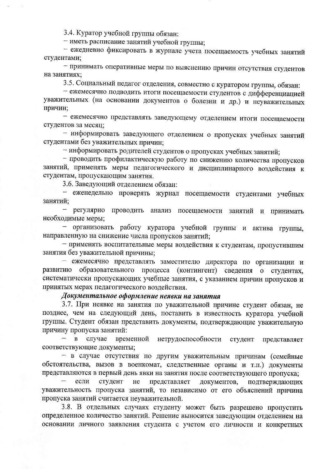3.4. Куратор учебной группы обязан:

- иметь расписание занятий учебной группы;

- ежедневно фиксировать в журнале учета посещаемость учебных занятий студентами;

- принимать оперативные меры по выяснению причин отсутствия студентов на занятиях:

3.5. Социальный педагог отделения, совместно с куратором группы, обязан:

- ежемесячно подводить итоги посещаемости студентов с дифференциацией уважительных (на основании документов о болезни и др.) и неуважительных причин:

- ежемесячно представлять заведующему отделением итоги посещаемости студентов за месяц:

- информировать заведующего отделением о пропусках учебных занятий студентами без уважительных причин;

- информировать родителей студентов о пропусках учебных занятий;

- проводить профилактическую работу по снижению количества пропусков занятий, применять меры педагогического и дисциплинарного воздействия к студентам, пропускающим занятия.

3.6. Заведующий отделением обязан:

- еженедельно проверять журнал посещаемости студентами учебных занятий:

регулярно проводить анализ посещаемости занятий и принимать необходимые меры;

организовать работу куратора учебной группы и актива группы, направленную на снижение числа пропусков занятий;

- применять воспитательные меры воздействия к студентам, пропустившим занятия без уважительной причины;

- ежемесячно представлять заместителю директора по организации и образовательного процесса (контингент) сведения о студентах, развитию систематически пропускающих учебные занятия, с указанием причин пропусков и принятых мерах педагогического воздействия.

### Документальное оформление неявки на занятия

3.7. При неявке на занятия по уважительной причине студент обязан, не позднее, чем на следующий день, поставить в известность куратора учебной группы. Студент обязан представить документы, подтверждающие уважительную причину пропуска занятий:

 $\overline{B}$ случае временной нетрудоспособности студент представляет соответствующие документы;

- в случае отсутствия по другим уважительным причинам (семейные обстоятельства, вызов в военкомат, следственные органы и т.п.) документы представляются в первый день явки на занятия после соответствующего пропуска;

представляет если студент He документов, подтверждающих уважительность пропуска занятий, то независимо от его объяснений причина пропуска занятий считается неуважительной.

3.8. В отдельных случаях студенту может быть разрешено пропустить определенное количество занятий. Решение выносится заведующим отделением на основании личного заявления студента с учетом его личности и конкретных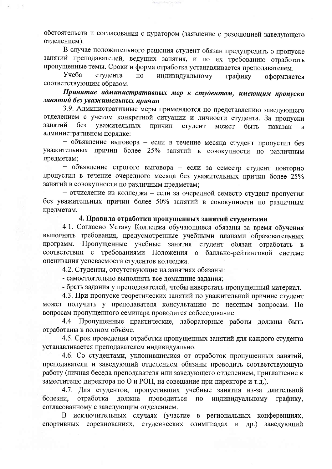обстоятельств и согласования с куратором (заявление с резолюцией заведующего отделением).

В случае положительного решения студент обязан предупредить о пропуске занятий преподавателей, ведущих занятия, и по их требованию отработать пропущенные темы. Сроки и форма отработка устанавливается преподавателем.

Учеба студента  $\Pi$ <sup>O</sup> индивидуальному графику оформляется соответствующим образом.

Принятие административных мер к студентам, имеющим пропуски занятий без уважительных причин

3.9. Административные меры применяются по представлению заведующего отделением с учетом конкретной ситуации и личности студента. За пропуски занятий без уважительных причин студент может быть наказан  $\overline{B}$ административном порядке:

- объявление выговора - если в течение месяца студент пропустил без уважительных причин более 25% занятий в совокупности по различным предметам;

- объявление строгого выговора - если за семестр студент повторно пропустил в течение очередного месяца без уважительных причин более 25% занятий в совокупности по различным предметам;

- отчисление из колледжа - если за очередной семестр студент пропустил без уважительных причин более 50% занятий в совокупности по различным предметам.

# 4. Правила отработки пропущенных занятий студентами

4.1. Согласно Уставу Колледжа обучающиеся обязаны за время обучения выполнять требования, предусмотренные учебными планами образовательных программ. Пропущенные учебные занятия студент обязан отработать  $\bf{B}$ соответствии с требованиями Положения о балльно-рейтинговой системе оценивания успеваемости студентов колледжа.

4.2. Студенты, отсутствующие на занятиях обязаны:

- самостоятельно выполнять все домашние задания:

- брать задания у преподавателей, чтобы наверстать пропущенный материал.

4.3. При пропуске теоретических занятий по уважительной причине студент может получить у преподавателя консультацию по неясным вопросам. По вопросам пропущенного семинара проводится собеседование.

4.4. Пропущенные практические, лабораторные работы должны быть отработаны в полном объёме.

4.5. Срок проведения отработки пропущенных занятий для каждого студента устанавливается преподавателем индивидуально.

4.6. Со студентами, уклонившимися от отработок пропущенных занятий, преподаватели и заведующий отделением обязаны проводить соответствующую работу (личная беседа преподавателя или заведующего отделением, приглашение к заместителю директора по О и РОП, на совещание при директоре и т.д.).

4.7. Для студентов, пропустивших учебные занятия из-за длительной болезни, отработка должна проводиться  $\Pi 0$ индивидуальному графику, согласованному с заведующим отделением.

В исключительных случаях (участие в региональных конференциях, спортивных соревнованиях, студенческих олимпиадах и др.) заведующий